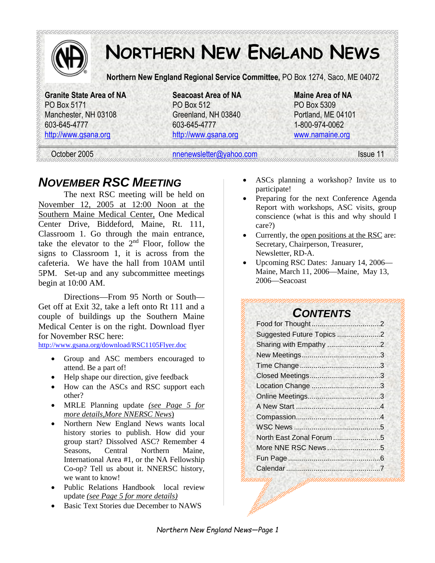

# **NORTHERN NEW ENGLAND NEWS**

**Northern New England Regional Service Committee,** PO Box 1274, Saco, ME 04072

**Granite State Area of NA Seacoast Area of NA Maine Area of NA**  PO Box 5171 PO Box 512 PO Box 5309 Manchester, NH 03108 Greenland, NH 03840 Portland, ME 04101 603-645-4777 603-645-4777 1-800-974-0062

http://www.gsana.org http://www.gsana.org www.namaine.org

October 2005 **nonewsletter@yahoo.com** Issue 11

## *NOVEMBER RSC MEETING*

The next RSC meeting will be held on November 12, 2005 at 12:00 Noon at the Southern Maine Medical Center, One Medical Center Drive, Biddeford, Maine, Rt. 111, Classroom 1. Go through the main entrance, take the elevator to the  $2<sup>nd</sup>$  Floor, follow the signs to Classroom 1, it is across from the cafeteria. We have the hall from 10AM until 5PM. Set-up and any subcommittee meetings begin at 10:00 AM.

Directions—From 95 North or South— Get off at Exit 32, take a left onto Rt 111 and a couple of buildings up the Southern Maine Medical Center is on the right. Download flyer for November RSC here:

http://www.gsana.org/download/RSC1105Flyer.doc

- Group and ASC members encouraged to attend. Be a part of!
- Help shape our direction, give feedback
- How can the ASCs and RSC support each other?
- MRLE Planning update *(see Page 5 for more details,More NNERSC News*)
- Northern New England News wants local history stories to publish. How did your group start? Dissolved ASC? Remember 4 Seasons, Central Northern Maine, International Area #1, or the NA Fellowship Co-op? Tell us about it. NNERSC history, we want to know!
- Public Relations Handbook local review update *(see Page 5 for more details)*
- Basic Text Stories due December to NAWS
- ASCs planning a workshop? Invite us to participate!
- Preparing for the next Conference Agenda Report with workshops, ASC visits, group conscience (what is this and why should I care?)
- Currently, the open positions at the RSC are: Secretary, Chairperson, Treasurer, Newsletter, RD-A.
- Upcoming RSC Dates: January 14, 2006— Maine, March 11, 2006—Maine, May 13, 2006—Seacoast

### *CONTENTS*

| Suggested Future Topics 2 |  |
|---------------------------|--|
| Sharing with Empathy 2    |  |
|                           |  |
|                           |  |
|                           |  |
|                           |  |
|                           |  |
|                           |  |
|                           |  |
|                           |  |
| North East Zonal Forum5   |  |
|                           |  |
|                           |  |
|                           |  |
|                           |  |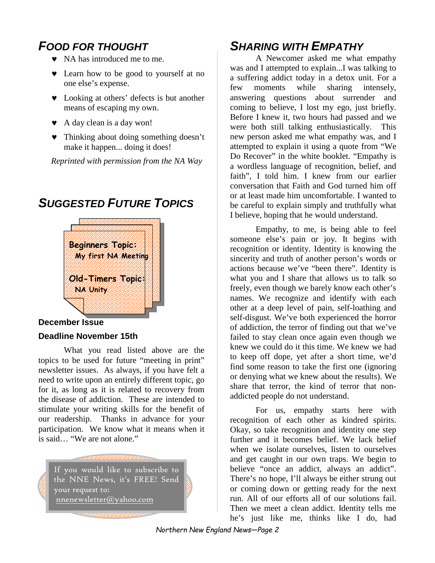# *FOOD FOR THOUGHT*

- ♥ NA has introduced me to me.
- ♥ Learn how to be good to yourself at no one else's expense.
- ♥ Looking at others' defects is but another means of escaping my own.
- ♥ A day clean is a day won!
- ♥ Thinking about doing something doesn't make it happen... doing it does!

*Reprinted with permission from the NA Way* 

# *SUGGESTED FUTURE TOPICS*



### **December Issue**

#### **Deadline November 15th**

What you read listed above are the topics to be used for future "meeting in print" newsletter issues. As always, if you have felt a need to write upon an entirely different topic, go for it, as long as it is related to recovery from the disease of addiction. These are intended to stimulate your writing skills for the benefit of our readership. Thanks in advance for your participation. We know what it means when it is said… "We are not alone."



## *SHARING WITH EMPATHY*

A Newcomer asked me what empathy was and I attempted to explain...I was talking to a suffering addict today in a detox unit. For a few moments while sharing intensely, answering questions about surrender and coming to believe, I lost my ego, just briefly. Before I knew it, two hours had passed and we were both still talking enthusiastically. This new person asked me what empathy was, and I attempted to explain it using a quote from "We Do Recover" in the white booklet. "Empathy is a wordless language of recognition, belief, and faith", I told him. I knew from our earlier conversation that Faith and God turned him off or at least made him uncomfortable. I wanted to be careful to explain simply and truthfully what I believe, hoping that he would understand.

Empathy, to me, is being able to feel someone else's pain or joy. It begins with recognition or identity. Identity is knowing the sincerity and truth of another person's words or actions because we've "been there". Identity is what you and I share that allows us to talk so freely, even though we barely know each other's names. We recognize and identify with each other at a deep level of pain, self-loathing and self-disgust. We've both experienced the horror of addiction, the terror of finding out that we've failed to stay clean once again even though we knew we could do it this time. We knew we had to keep off dope, yet after a short time, we'd find some reason to take the first one (ignoring or denying what we knew about the results). We share that terror, the kind of terror that nonaddicted people do not understand.

For us, empathy starts here with recognition of each other as kindred spirits. Okay, so take recognition and identity one step further and it becomes belief. We lack belief when we isolate ourselves, listen to ourselves and get caught in our own traps. We begin to believe "once an addict, always an addict". There's no hope, I'll always be either strung out or coming down or getting ready for the next run. All of our efforts all of our solutions fail. Then we meet a clean addict. Identity tells me he's just like me, thinks like I do, had

*Northern New England News—Page 2*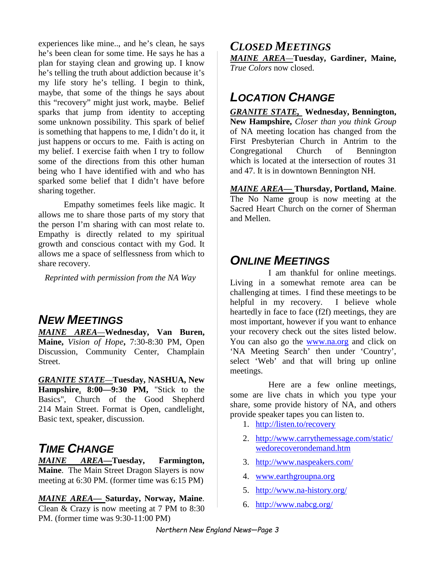experiences like mine.., and he's clean, he says he's been clean for some time. He says he has a plan for staying clean and growing up. I know he's telling the truth about addiction because it's my life story he's telling. I begin to think, maybe, that some of the things he says about this "recovery" might just work, maybe. Belief sparks that jump from identity to accepting some unknown possibility. This spark of belief is something that happens to me, I didn't do it, it just happens or occurs to me. Faith is acting on my belief. I exercise faith when I try to follow some of the directions from this other human being who I have identified with and who has sparked some belief that I didn't have before sharing together.

Empathy sometimes feels like magic. It allows me to share those parts of my story that the person I'm sharing with can most relate to. Empathy is directly related to my spiritual growth and conscious contact with my God. It allows me a space of selflessness from which to share recovery.

*Reprinted with permission from the NA Way* 

### *NEW MEETINGS*

*MAINE AREA—***Wednesday, Van Buren, Maine,** *Vision of Hope***,** 7:30-8:30 PM, Open Discussion, Community Center, Champlain Street.

*GRANITE STATE—***Tuesday, NASHUA, New Hampshire***,* **8:00—9:30 PM,** "Stick to the Basics", Church of the Good Shepherd 214 Main Street. Format is Open, candlelight, Basic text, speaker, discussion.

### *TIME CHANGE*

*MAINE AREA—***Tuesday, Farmington, Maine**. The Main Street Dragon Slayers is now meeting at 6:30 PM. (former time was 6:15 PM)

*MAINE AREA—* **Saturday, Norway, Maine**. Clean & Crazy is now meeting at 7 PM to 8:30 PM. (former time was 9:30-11:00 PM)

### *CLOSED MEETINGS*

*MAINE AREA—***Tuesday, Gardiner, Maine,**  *True Colors* now closed.

# *LOCATION CHANGE*

*GRANITE STATE,* **Wednesday, Bennington, New Hampshire,** *Closer than you think Group* of NA meeting location has changed from the First Presbyterian Church in Antrim to the Congregational Church of Bennington which is located at the intersection of routes 31 and 47. It is in downtown Bennington NH.

*MAINE AREA—* **Thursday, Portland, Maine**. The No Name group is now meeting at the Sacred Heart Church on the corner of Sherman and Mellen.

# *ONLINE MEETINGS*

I am thankful for online meetings. Living in a somewhat remote area can be challenging at times. I find these meetings to be helpful in my recovery. I believe whole heartedly in face to face (f2f) meetings, they are most important, however if you want to enhance your recovery check out the sites listed below. You can also go the www.na.org and click on 'NA Meeting Search' then under 'Country', select 'Web' and that will bring up online meetings.

Here are a few online meetings, some are live chats in which you type your share, some provide history of NA, and others provide speaker tapes you can listen to.

- 1. http://listen.to/recovery
- 2. http://www.carrythemessage.com/static/ wedorecoverondemand.htm
- 3. http://www.naspeakers.com/
- 4. www.earthgroupna.org
- 5. http://www.na-history.org/
- 6. http://www.nabcg.org/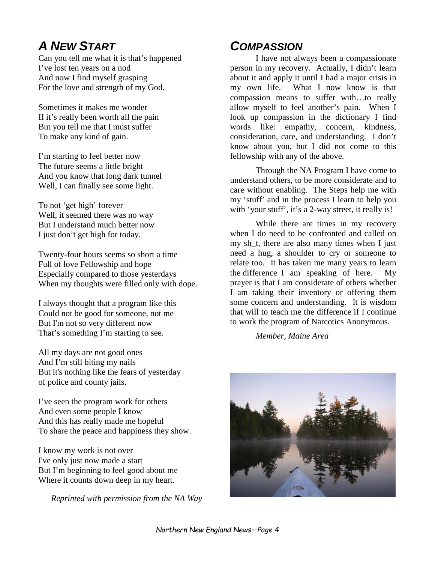# *A NEW START*

Can you tell me what it is that's happened I've lost ten years on a nod And now I find myself grasping For the love and strength of my God.

Sometimes it makes me wonder If it's really been worth all the pain But you tell me that I must suffer To make any kind of gain.

I'm starting to feel better now The future seems a little bright And you know that long dark tunnel Well, I can finally see some light.

To not 'get high' forever Well, it seemed there was no way But I understand much better now I just don't get high for today.

Twenty-four hours seems so short a time Full of love Fellowship and hope Especially compared to those yesterdays When my thoughts were filled only with dope.

I always thought that a program like this Could not be good for someone, not me But I'm not so very different now That's something I'm starting to see.

All my days are not good ones And I'm still biting my nails But it's nothing like the fears of yesterday of police and county jails.

I've seen the program work for others And even some people I know And this has really made me hopeful To share the peace and happiness they show.

I know my work is not over I've only just now made a start But I'm beginning to feel good about me Where it counts down deep in my heart.

*Reprinted with permission from the NA Way* 

# *COMPASSION*

I have not always been a compassionate person in my recovery. Actually, I didn't learn about it and apply it until I had a major crisis in my own life. What I now know is that compassion means to suffer with…to really allow myself to feel another's pain. When I look up compassion in the dictionary I find words like: empathy, concern, kindness, consideration, care, and understanding. I don't know about you, but I did not come to this fellowship with any of the above.

Through the NA Program I have come to understand others, to be more considerate and to care without enabling. The Steps help me with my 'stuff' and in the process I learn to help you with 'your stuff', it's a 2-way street, it really is!

While there are times in my recovery when I do need to be confronted and called on my sh\_t, there are also many times when I just need a hug, a shoulder to cry or someone to relate too. It has taken me many years to learn the difference I am speaking of here. My prayer is that I am considerate of others whether I am taking their inventory or offering them some concern and understanding. It is wisdom that will to teach me the difference if I continue to work the program of Narcotics Anonymous.

*Member, Maine Area* 

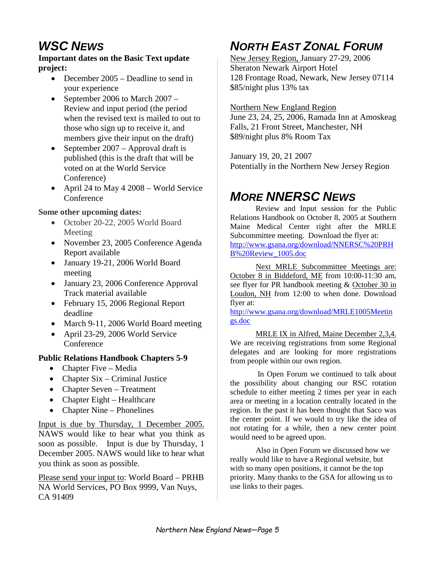# *WSC NEWS*

#### **Important dates on the Basic Text update project:**

- December 2005 Deadline to send in your experience
- September 2006 to March 2007 Review and input period (the period when the revised text is mailed to out to those who sign up to receive it, and members give their input on the draft)
- September 2007 Approval draft is published (this is the draft that will be voted on at the World Service Conference)
- April 24 to May 4 2008 World Service **Conference**

#### **Some other upcoming dates:**

- October 20-22, 2005 World Board Meeting
- November 23, 2005 Conference Agenda Report available
- January 19-21, 2006 World Board meeting
- January 23, 2006 Conference Approval Track material available
- February 15, 2006 Regional Report deadline
- March 9-11, 2006 World Board meeting
- April 23-29, 2006 World Service **Conference**

### **Public Relations Handbook Chapters 5-9**

- Chapter Five Media
- Chapter Six Criminal Justice
- Chapter Seven Treatment
- Chapter Eight Healthcare
- Chapter Nine Phonelines

Input is due by Thursday, 1 December 2005. NAWS would like to hear what you think as soon as possible. Input is due by Thursday, 1 December 2005. NAWS would like to hear what you think as soon as possible.

Please send your input to: World Board – PRHB NA World Services, PO Box 9999, Van Nuys, CA 91409

# *NORTH EAST ZONAL FORUM*

New Jersey Region, January 27-29, 2006 Sheraton Newark Airport Hotel 128 Frontage Road, Newark, New Jersey 07114 \$85/night plus 13% tax

#### Northern New England Region

June 23, 24, 25, 2006, Ramada Inn at Amoskeag Falls, 21 Front Street, Manchester, NH \$89/night plus 8% Room Tax

January 19, 20, 21 2007 Potentially in the Northern New Jersey Region

# *MORE NNERSC NEWS*

Review and Input session for the Public Relations Handbook on October 8, 2005 at Southern Maine Medical Center right after the MRLE Subcommittee meeting. Download the flyer at: http://www.gsana.org/download/NNERSC%20PRH B%20Review\_1005.doc

Next MRLE Subcommittee Meetings are: October 8 in Biddeford, ME from 10:00-11:30 am, see flyer for PR handbook meeting & October 30 in Loudon, NH from 12:00 to when done. Download flyer at:

http://www.gsana.org/download/MRLE1005Meetin gs.doc

MRLE IX in Alfred, Maine December 2,3,4. We are receiving registrations from some Regional delegates and are looking for more registrations from people within our own region.

 In Open Forum we continued to talk about the possibility about changing our RSC rotation schedule to either meeting 2 times per year in each area or meeting in a location centrally located in the region. In the past it has been thought that Saco was the center point. If we would to try like the idea of not rotating for a while, then a new center point would need to be agreed upon.

Also in Open Forum we discussed how we really would like to have a Regional website, but with so many open positions, it cannot be the top priority. Many thanks to the GSA for allowing us to use links to their pages.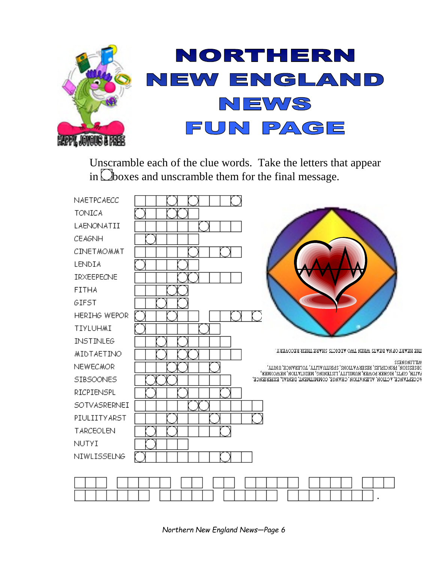

Unscramble each of the clue words. Take the letters that appear in  $\Box$ boxes and unscramble them for the final message.

| NAETPCAECC          |                                                                                                                                                           |
|---------------------|-----------------------------------------------------------------------------------------------------------------------------------------------------------|
| <b>TONICA</b>       |                                                                                                                                                           |
| LAENONATII          |                                                                                                                                                           |
| <b>CEAGNH</b>       |                                                                                                                                                           |
| CINETMOMMT          |                                                                                                                                                           |
| LENDIA              |                                                                                                                                                           |
| IRXEEPECNE          |                                                                                                                                                           |
| <b>FITHA</b>        |                                                                                                                                                           |
| GIFST               |                                                                                                                                                           |
| HERIHG WEPOR        |                                                                                                                                                           |
| TIYLUHMI            |                                                                                                                                                           |
| <b>INSTINLEG</b>    |                                                                                                                                                           |
| MIDTAETINO          | THE HEART OF NA BEATS WHEN TWO ADDICTS SHARE THEIR RECOVERY.                                                                                              |
| <b>NEWECMOR</b>     | MITTIMGNE22<br>JESESSION' LEVICILITES' EESEKAVILIONS' SLIELIN VITLA' LOFEKVNCE' NNILA'                                                                    |
| SIBSOONES           | EVILH' CILLE' HICHEK LOMEK' HAMITILA' TIZLEMING' MEDILVLION' MEMCOWEK'<br><b>WCCELLWHCE, ACTION, ALIEN ATION, CHANGE, COMMITMENT, DENIAL, EXPERIENCE,</b> |
| RICPIENSPL          |                                                                                                                                                           |
| <b>SOTVASRERNEI</b> |                                                                                                                                                           |
| PIULIITYARST        |                                                                                                                                                           |
| <b>TARCEOLEN</b>    |                                                                                                                                                           |
| <b>NUTYI</b>        |                                                                                                                                                           |
| NIWLISSELNG         |                                                                                                                                                           |
|                     |                                                                                                                                                           |
|                     |                                                                                                                                                           |
|                     |                                                                                                                                                           |